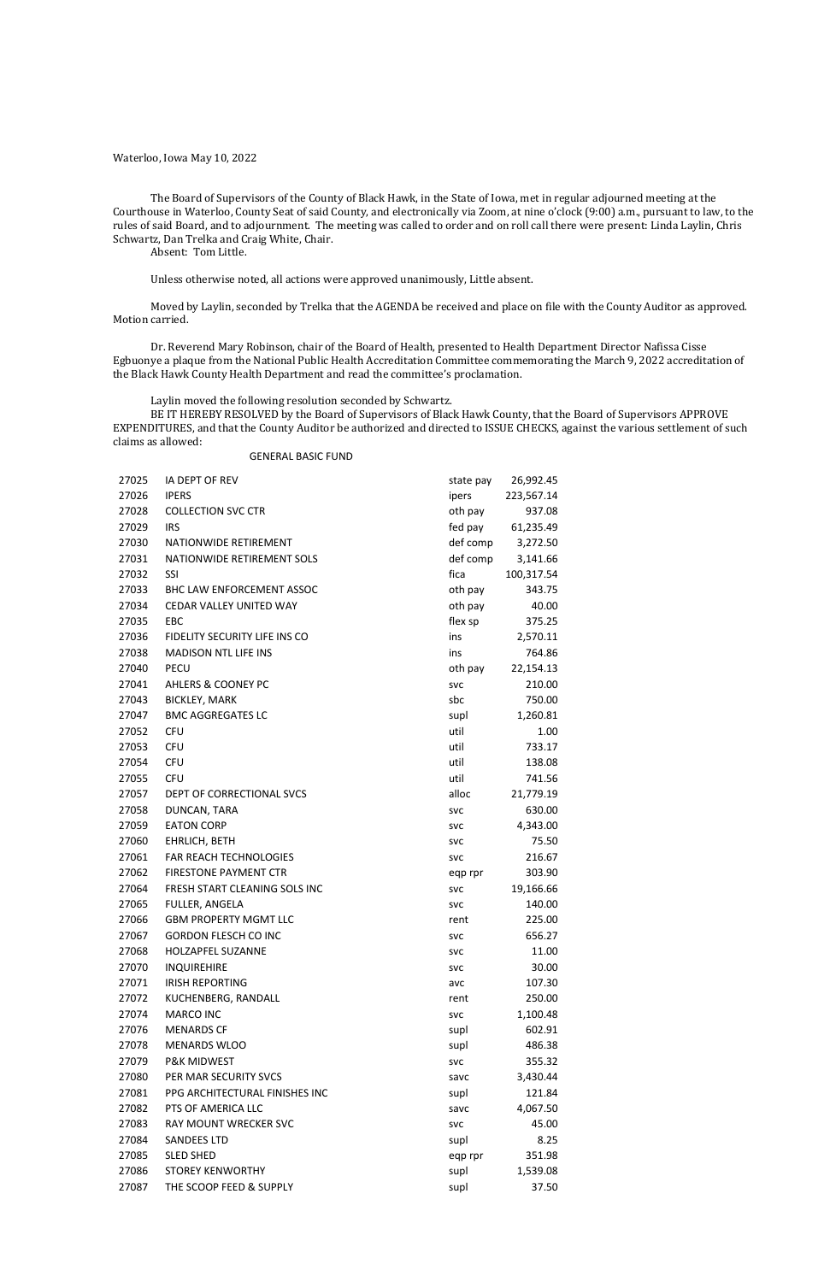Waterloo, Iowa May 10, 2022

The Board of Supervisors of the County of Black Hawk, in the State of Iowa, met in regular adjourned meeting at the Courthouse in Waterloo, County Seat of said County, and electronically via Zoom, at nine o'clock (9:00) a.m., pursuant to law, to the rules of said Board, and to adjournment. The meeting was called to order and on roll call there were present: Linda Laylin, Chris Schwartz, Dan Trelka and Craig White, Chair.

Absent: Tom Little.

Unless otherwise noted, all actions were approved unanimously, Little absent.

Moved by Laylin, seconded by Trelka that the AGENDA be received and place on file with the County Auditor as approved. Motion carried.

Dr. Reverend Mary Robinson, chair of the Board of Health, presented to Health Department Director Nafissa Cisse Egbuonye a plaque from the National Public Health Accreditation Committee commemorating the March 9, 2022 accreditation of the Black Hawk County Health Department and read the committee's proclamation.

Laylin moved the following resolution seconded by Schwartz.

BE IT HEREBY RESOLVED by the Board of Supervisors of Black Hawk County, that the Board of Supervisors APPROVE EXPENDITURES, and that the County Auditor be authorized and directed to ISSUE CHECKS, against the various settlement of such claims as allowed:

### GENERAL BASIC FUND

| 27025 | IA DEPT OF REV                   | state pay  | 26,992.45  |
|-------|----------------------------------|------------|------------|
| 27026 | <b>IPERS</b>                     | ipers      | 223,567.14 |
| 27028 | <b>COLLECTION SVC CTR</b>        | oth pay    | 937.08     |
| 27029 | <b>IRS</b>                       | fed pay    | 61,235.49  |
| 27030 | NATIONWIDE RETIREMENT            | def comp   | 3,272.50   |
| 27031 | NATIONWIDE RETIREMENT SOLS       | def comp   | 3,141.66   |
| 27032 | <b>SSI</b>                       | fica       | 100,317.54 |
| 27033 | <b>BHC LAW ENFORCEMENT ASSOC</b> | oth pay    | 343.75     |
| 27034 | CEDAR VALLEY UNITED WAY          | oth pay    | 40.00      |
| 27035 | EBC                              | flex sp    | 375.25     |
| 27036 | FIDELITY SECURITY LIFE INS CO    | ins        | 2,570.11   |
| 27038 | <b>MADISON NTL LIFE INS</b>      | ins        | 764.86     |
| 27040 | <b>PECU</b>                      | oth pay    | 22,154.13  |
| 27041 | <b>AHLERS &amp; COONEY PC</b>    | <b>SVC</b> | 210.00     |
| 27043 | <b>BICKLEY, MARK</b>             | sbc        | 750.00     |
| 27047 | <b>BMC AGGREGATES LC</b>         | supl       | 1,260.81   |
| 27052 | <b>CFU</b>                       | util       | 1.00       |
| 27053 | <b>CFU</b>                       | util       | 733.17     |
| 27054 | <b>CFU</b>                       | util       | 138.08     |
| 27055 | <b>CFU</b>                       | util       | 741.56     |
| 27057 | DEPT OF CORRECTIONAL SVCS        | alloc      | 21,779.19  |
| 27058 | DUNCAN, TARA                     | <b>SVC</b> | 630.00     |
| 27059 | <b>EATON CORP</b>                | <b>SVC</b> | 4,343.00   |
| 27060 | EHRLICH, BETH                    | <b>SVC</b> | 75.50      |
| 27061 | FAR REACH TECHNOLOGIES           | <b>SVC</b> | 216.67     |
| 27062 | <b>FIRESTONE PAYMENT CTR</b>     | eqp rpr    | 303.90     |
| 27064 | FRESH START CLEANING SOLS INC    | <b>SVC</b> | 19,166.66  |
| 27065 | FULLER, ANGELA                   | <b>SVC</b> | 140.00     |
| 27066 | <b>GBM PROPERTY MGMT LLC</b>     | rent       | 225.00     |
| 27067 | <b>GORDON FLESCH CO INC</b>      | <b>SVC</b> | 656.27     |
| 27068 | HOLZAPFEL SUZANNE                | <b>SVC</b> | 11.00      |
| 27070 | <b>INQUIREHIRE</b>               | <b>SVC</b> | 30.00      |
| 27071 | <b>IRISH REPORTING</b>           | avc        | 107.30     |
| 27072 | KUCHENBERG, RANDALL              | rent       | 250.00     |
| 27074 | <b>MARCO INC</b>                 | <b>SVC</b> | 1,100.48   |
| 27076 | <b>MENARDS CF</b>                | supl       | 602.91     |
| 27078 | <b>MENARDS WLOO</b>              | supl       | 486.38     |
| 27079 | <b>P&amp;K MIDWEST</b>           | <b>SVC</b> | 355.32     |
| 27080 | PER MAR SECURITY SVCS            | savc       | 3,430.44   |
| 27081 | PPG ARCHITECTURAL FINISHES INC   | supl       | 121.84     |
| 27082 | PTS OF AMERICA LLC               | savc       | 4,067.50   |
| 27083 | RAY MOUNT WRECKER SVC            | <b>SVC</b> | 45.00      |
| 27084 | <b>SANDEES LTD</b>               | supl       | 8.25       |
| 27085 | <b>SLED SHED</b>                 | eqp rpr    | 351.98     |
| 27086 | <b>STOREY KENWORTHY</b>          | supl       | 1,539.08   |
| 27087 | THE SCOOP FEED & SUPPLY          | supl       | 37.50      |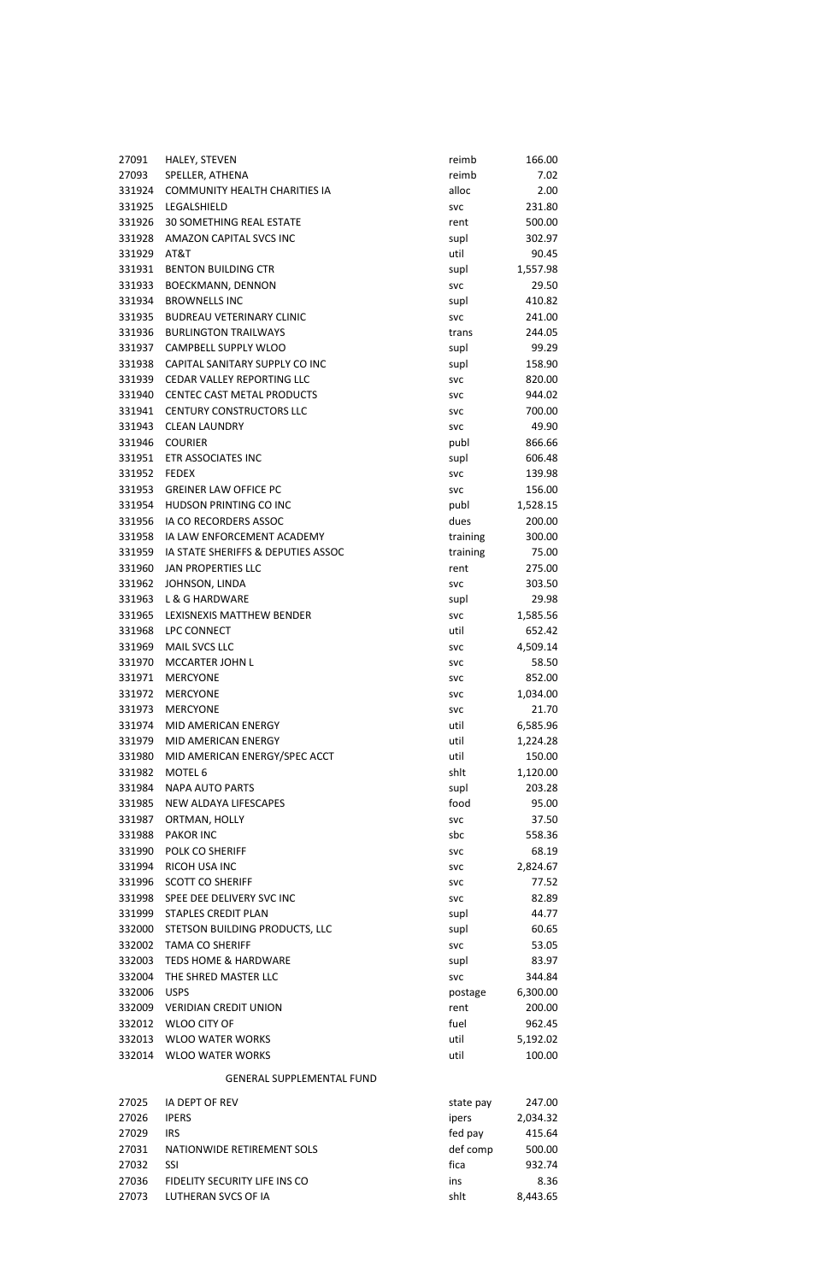| 27091        | HALEY, STEVEN                        | reimb      | 166.00   |
|--------------|--------------------------------------|------------|----------|
| 27093        | SPELLER, ATHENA                      | reimb      | 7.02     |
| 331924       | <b>COMMUNITY HEALTH CHARITIES IA</b> | alloc      | 2.00     |
| 331925       | LEGALSHIELD                          | <b>SVC</b> | 231.80   |
| 331926       | <b>30 SOMETHING REAL ESTATE</b>      | rent       | 500.00   |
| 331928       | AMAZON CAPITAL SVCS INC              | supl       | 302.97   |
| 331929       | AT&T                                 | util       | 90.45    |
| 331931       | <b>BENTON BUILDING CTR</b>           | supl       | 1,557.98 |
| 331933       | <b>BOECKMANN, DENNON</b>             | <b>SVC</b> | 29.50    |
| 331934       | <b>BROWNELLS INC</b>                 | supl       | 410.82   |
| 331935       | <b>BUDREAU VETERINARY CLINIC</b>     | <b>SVC</b> | 241.00   |
| 331936       | <b>BURLINGTON TRAILWAYS</b>          | trans      | 244.05   |
| 331937       | CAMPBELL SUPPLY WLOO                 | supl       | 99.29    |
| 331938       | CAPITAL SANITARY SUPPLY CO INC       | supl       | 158.90   |
| 331939       | <b>CEDAR VALLEY REPORTING LLC</b>    | <b>SVC</b> | 820.00   |
| 331940       | CENTEC CAST METAL PRODUCTS           | <b>SVC</b> | 944.02   |
| 331941       | <b>CENTURY CONSTRUCTORS LLC</b>      | <b>SVC</b> | 700.00   |
| 331943       | <b>CLEAN LAUNDRY</b>                 | <b>SVC</b> | 49.90    |
| 331946       | <b>COURIER</b>                       | publ       | 866.66   |
| 331951       | ETR ASSOCIATES INC                   | supl       | 606.48   |
| 331952 FEDEX |                                      | <b>SVC</b> | 139.98   |
| 331953       | <b>GREINER LAW OFFICE PC</b>         | <b>SVC</b> | 156.00   |
| 331954       | HUDSON PRINTING CO INC               | publ       | 1,528.15 |
| 331956       | IA CO RECORDERS ASSOC                | dues       | 200.00   |
|              | 331958 IA LAW ENFORCEMENT ACADEMY    | training   | 300.00   |
| 331959       | IA STATE SHERIFFS & DEPUTIES ASSOC   | training   | 75.00    |
| 331960       | JAN PROPERTIES LLC                   | rent       | 275.00   |
| 331962       | JOHNSON, LINDA                       | <b>SVC</b> | 303.50   |
| 331963       | L & G HARDWARE                       | supl       | 29.98    |
| 331965       | LEXISNEXIS MATTHEW BENDER            | svc        | 1,585.56 |
| 331968       | LPC CONNECT                          | util       | 652.42   |
| 331969       | MAIL SVCS LLC                        | <b>SVC</b> | 4,509.14 |
| 331970       | MCCARTER JOHN L                      | <b>SVC</b> | 58.50    |
| 331971       | <b>MERCYONE</b>                      | <b>SVC</b> | 852.00   |
| 331972       | <b>MERCYONE</b>                      | <b>SVC</b> | 1,034.00 |
| 331973       | <b>MERCYONE</b>                      | <b>SVC</b> | 21.70    |
| 331974       | MID AMERICAN ENERGY                  | util       | 6,585.96 |
| 331979       | MID AMERICAN ENERGY                  | util       | 1,224.28 |
| 331980       | MID AMERICAN ENERGY/SPEC ACCT        | util       | 150.00   |
| 331982       | MOTEL 6                              | shlt       | 1,120.00 |
| 331984       | <b>NAPA AUTO PARTS</b>               | supl       | 203.28   |
| 331985       | NEW ALDAYA LIFESCAPES                | food       | 95.00    |
| 331987       | ORTMAN, HOLLY                        | svc        | 37.50    |
| 331988       | <b>PAKOR INC</b>                     | sbc        | 558.36   |
| 331990       | POLK CO SHERIFF                      | <b>SVC</b> | 68.19    |
| 331994       | RICOH USA INC                        | <b>SVC</b> | 2,824.67 |
|              | 331996 SCOTT CO SHERIFF              | <b>SVC</b> | 77.52    |
| 331998       | SPEE DEE DELIVERY SVC INC            | <b>SVC</b> | 82.89    |
|              | 331999 STAPLES CREDIT PLAN           | supl       | 44.77    |
| 332000       | STETSON BUILDING PRODUCTS, LLC       | supl       | 60.65    |
|              | 332002 TAMA CO SHERIFF               | <b>SVC</b> | 53.05    |
| 332003       | <b>TEDS HOME &amp; HARDWARE</b>      | supl       | 83.97    |
| 332004       | THE SHRED MASTER LLC                 | <b>SVC</b> | 344.84   |
| 332006       | <b>USPS</b>                          | postage    | 6,300.00 |
|              | 332009 VERIDIAN CREDIT UNION         | rent       | 200.00   |
| 332012       | <b>WLOO CITY OF</b>                  | fuel       | 962.45   |
| 332013       | <b>WLOO WATER WORKS</b>              | util       | 5,192.02 |
| 332014       | <b>WLOO WATER WORKS</b>              | util       | 100.00   |
|              |                                      |            |          |

# GENERAL SUPPLEMENTAL FUND

| 27025 | <b>IA DEPT OF REV</b>         | state pay | 247.00   |
|-------|-------------------------------|-----------|----------|
| 27026 | <b>IPERS</b>                  | ipers     | 2,034.32 |
| 27029 | IRS.                          | fed pay   | 415.64   |
| 27031 | NATIONWIDE RETIREMENT SOLS    | def comp  | 500.00   |
| 27032 | <b>SSL</b>                    | fica      | 932.74   |
| 27036 | FIDELITY SECURITY LIFE INS CO | ins       | 8.36     |
| 27073 | LUTHERAN SVCS OF IA           | shit      | 8,443.65 |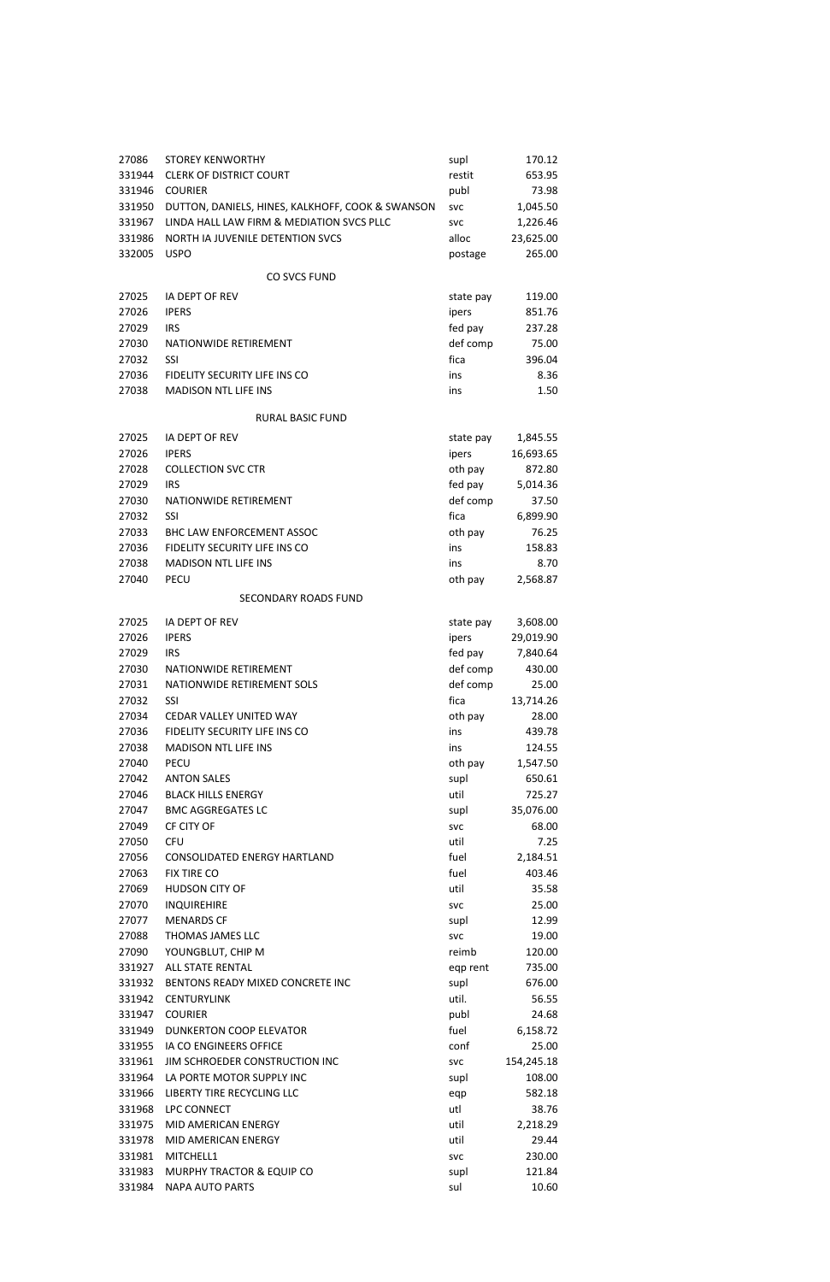| 27086  | <b>STOREY KENWORTHY</b>                          | supl       | 170.12     |
|--------|--------------------------------------------------|------------|------------|
| 331944 | <b>CLERK OF DISTRICT COURT</b>                   | restit     | 653.95     |
| 331946 | <b>COURIER</b>                                   | publ       | 73.98      |
| 331950 | DUTTON, DANIELS, HINES, KALKHOFF, COOK & SWANSON | <b>SVC</b> | 1,045.50   |
| 331967 | LINDA HALL LAW FIRM & MEDIATION SVCS PLLC        | <b>SVC</b> | 1,226.46   |
| 331986 | NORTH IA JUVENILE DETENTION SVCS                 | alloc      | 23,625.00  |
| 332005 | <b>USPO</b>                                      | postage    | 265.00     |
|        |                                                  |            |            |
|        | <b>CO SVCS FUND</b>                              |            |            |
| 27025  | IA DEPT OF REV                                   | state pay  | 119.00     |
| 27026  | <b>IPERS</b>                                     | ipers      | 851.76     |
| 27029  | <b>IRS</b>                                       | fed pay    | 237.28     |
| 27030  | NATIONWIDE RETIREMENT                            | def comp   | 75.00      |
| 27032  | <b>SSI</b>                                       | fica       | 396.04     |
| 27036  | FIDELITY SECURITY LIFE INS CO                    | ins        | 8.36       |
| 27038  | <b>MADISON NTL LIFE INS</b>                      | ins        | 1.50       |
|        |                                                  |            |            |
|        | <b>RURAL BASIC FUND</b>                          |            |            |
| 27025  | IA DEPT OF REV                                   | state pay  | 1,845.55   |
| 27026  | <b>IPERS</b>                                     | ipers      | 16,693.65  |
| 27028  | <b>COLLECTION SVC CTR</b>                        | oth pay    | 872.80     |
| 27029  | <b>IRS</b>                                       | fed pay    | 5,014.36   |
| 27030  | NATIONWIDE RETIREMENT                            | def comp   | 37.50      |
| 27032  | SSI                                              | fica       | 6,899.90   |
| 27033  | BHC LAW ENFORCEMENT ASSOC                        | oth pay    | 76.25      |
| 27036  | FIDELITY SECURITY LIFE INS CO                    | ins        | 158.83     |
| 27038  | <b>MADISON NTL LIFE INS</b>                      | ins        | 8.70       |
| 27040  | <b>PECU</b>                                      | oth pay    | 2,568.87   |
|        | <b>SECONDARY ROADS FUND</b>                      |            |            |
|        |                                                  |            |            |
| 27025  | IA DEPT OF REV                                   | state pay  | 3,608.00   |
| 27026  | <b>IPERS</b>                                     | ipers      | 29,019.90  |
| 27029  | <b>IRS</b>                                       | fed pay    | 7,840.64   |
| 27030  | NATIONWIDE RETIREMENT                            | def comp   | 430.00     |
| 27031  | NATIONWIDE RETIREMENT SOLS                       | def comp   | 25.00      |
| 27032  | <b>SSI</b>                                       | fica       | 13,714.26  |
| 27034  | <b>CEDAR VALLEY UNITED WAY</b>                   | oth pay    | 28.00      |
| 27036  | FIDELITY SECURITY LIFE INS CO                    | ins        | 439.78     |
| 27038  | <b>MADISON NTL LIFE INS</b>                      | ins        | 124.55     |
| 27040  | <b>PECU</b>                                      | oth pay    | 1,547.50   |
| 27042  | <b>ANTON SALES</b>                               | supl       | 650.61     |
| 27046  | <b>BLACK HILLS ENERGY</b>                        | util       | 725.27     |
| 27047  | <b>BMC AGGREGATES LC</b>                         | supl       | 35,076.00  |
| 27049  | CF CITY OF                                       | <b>SVC</b> | 68.00      |
| 27050  | <b>CFU</b>                                       | util       | 7.25       |
| 27056  | CONSOLIDATED ENERGY HARTLAND                     | fuel       | 2,184.51   |
| 27063  | <b>FIX TIRE CO</b>                               | fuel       | 403.46     |
| 27069  | <b>HUDSON CITY OF</b>                            | util       | 35.58      |
| 27070  | <b>INQUIREHIRE</b>                               | <b>SVC</b> | 25.00      |
| 27077  | <b>MENARDS CF</b>                                | supl       | 12.99      |
| 27088  | THOMAS JAMES LLC                                 | <b>SVC</b> | 19.00      |
| 27090  | YOUNGBLUT, CHIP M                                | reimb      | 120.00     |
| 331927 | <b>ALL STATE RENTAL</b>                          | eqp rent   | 735.00     |
| 331932 | BENTONS READY MIXED CONCRETE INC                 | supl       | 676.00     |
| 331942 | <b>CENTURYLINK</b>                               | util.      | 56.55      |
| 331947 | <b>COURIER</b>                                   | publ       | 24.68      |
| 331949 | DUNKERTON COOP ELEVATOR                          | fuel       | 6,158.72   |
| 331955 | IA CO ENGINEERS OFFICE                           | conf       | 25.00      |
| 331961 | JIM SCHROEDER CONSTRUCTION INC                   | <b>SVC</b> | 154,245.18 |
| 331964 | LA PORTE MOTOR SUPPLY INC                        | supl       | 108.00     |
| 331966 | LIBERTY TIRE RECYCLING LLC                       | eqp        | 582.18     |
| 331968 | <b>LPC CONNECT</b>                               | utl        | 38.76      |
| 331975 | MID AMERICAN ENERGY                              | util       | 2,218.29   |
| 331978 | MID AMERICAN ENERGY                              | util       | 29.44      |
| 331981 | MITCHELL1                                        | <b>SVC</b> | 230.00     |
| 331983 | MURPHY TRACTOR & EQUIP CO                        | supl       | 121.84     |
| 331984 | <b>NAPA AUTO PARTS</b>                           | sul        | 10.60      |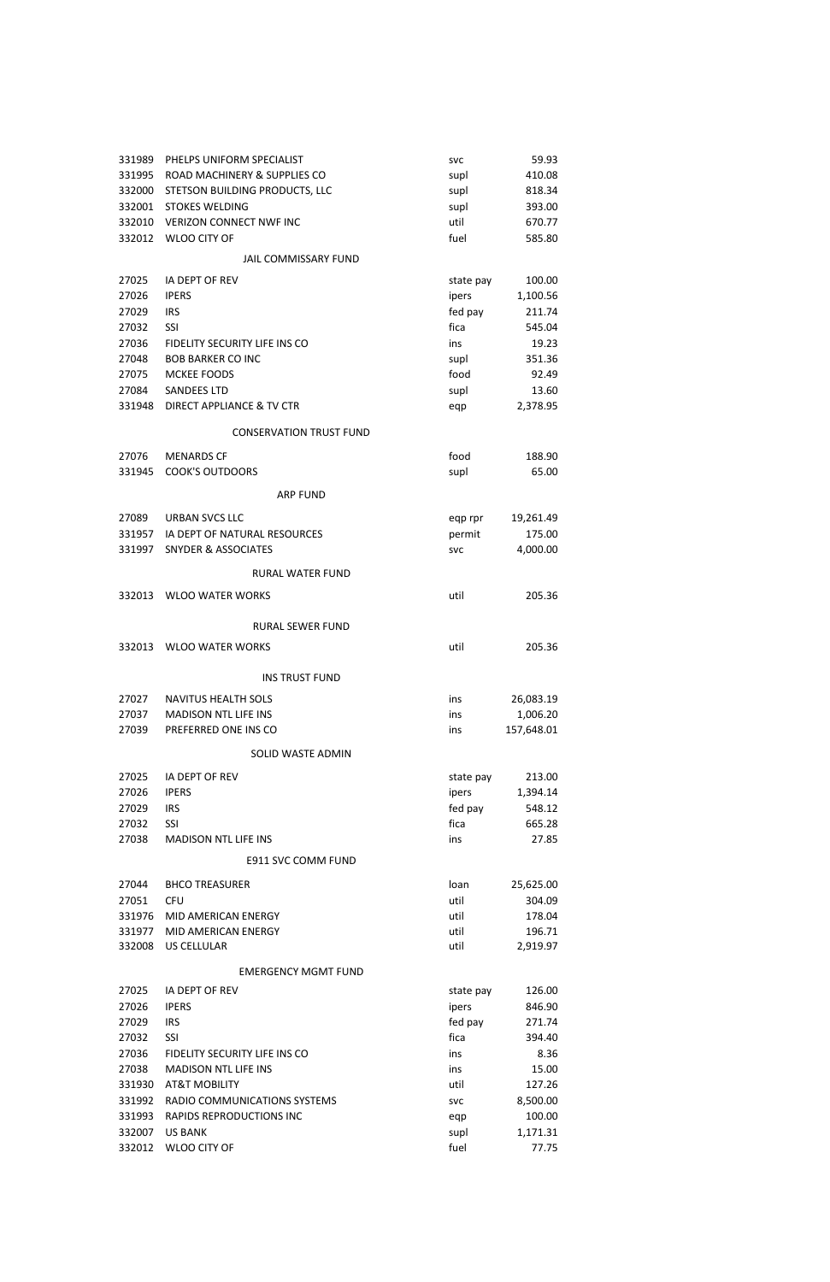| 331989 | PHELPS UNIFORM SPECIALIST            | <b>SVC</b>         | 59.93      |
|--------|--------------------------------------|--------------------|------------|
| 331995 | ROAD MACHINERY & SUPPLIES CO         | supl               | 410.08     |
| 332000 | STETSON BUILDING PRODUCTS, LLC       | supl               | 818.34     |
| 332001 | <b>STOKES WELDING</b>                | supl               | 393.00     |
| 332010 | <b>VERIZON CONNECT NWF INC</b>       | util               | 670.77     |
| 332012 | <b>WLOO CITY OF</b>                  | fuel               | 585.80     |
|        | <b>JAIL COMMISSARY FUND</b>          |                    |            |
| 27025  | <b>IA DEPT OF REV</b>                |                    | 100.00     |
| 27026  | <b>IPERS</b>                         | state pay<br>ipers | 1,100.56   |
| 27029  | <b>IRS</b>                           | fed pay            | 211.74     |
| 27032  | <b>SSI</b>                           | fica               | 545.04     |
| 27036  | FIDELITY SECURITY LIFE INS CO        | ins                | 19.23      |
| 27048  | <b>BOB BARKER CO INC.</b>            |                    | 351.36     |
| 27075  | <b>MCKEE FOODS</b>                   | supl<br>food       | 92.49      |
| 27084  | <b>SANDEES LTD</b>                   |                    | 13.60      |
| 331948 | <b>DIRECT APPLIANCE &amp; TV CTR</b> | supl               |            |
|        |                                      | eqp                | 2,378.95   |
|        | <b>CONSERVATION TRUST FUND</b>       |                    |            |
| 27076  | <b>MENARDS CF</b>                    | food               | 188.90     |
| 331945 | <b>COOK'S OUTDOORS</b>               | supl               | 65.00      |
|        | <b>ARP FUND</b>                      |                    |            |
|        |                                      |                    |            |
| 27089  | <b>URBAN SVCS LLC</b>                | eqp rpr            | 19,261.49  |
| 331957 | IA DEPT OF NATURAL RESOURCES         | permit             | 175.00     |
| 331997 | <b>SNYDER &amp; ASSOCIATES</b>       | <b>SVC</b>         | 4,000.00   |
|        | <b>RURAL WATER FUND</b>              |                    |            |
| 332013 | <b>WLOO WATER WORKS</b>              | util               | 205.36     |
|        | <b>RURAL SEWER FUND</b>              |                    |            |
|        |                                      |                    |            |
| 332013 | <b>WLOO WATER WORKS</b>              | util               | 205.36     |
|        | <b>INS TRUST FUND</b>                |                    |            |
| 27027  | <b>NAVITUS HEALTH SOLS</b>           | ins                | 26,083.19  |
| 27037  | <b>MADISON NTL LIFE INS</b>          | ins                | 1,006.20   |
| 27039  | PREFERRED ONE INS CO                 | ins                | 157,648.01 |
|        | SOLID WASTE ADMIN                    |                    |            |
|        |                                      |                    |            |
| 27025  | <b>IA DEPT OF REV</b>                | state pay          | 213.00     |
| 27026  | <b>IPERS</b>                         | ipers              | 1,394.14   |
| 27029  | <b>IRS</b>                           | fed pay            | 548.12     |
| 27032  | <b>SSI</b>                           | fica               | 665.28     |
| 27038  | <b>MADISON NTL LIFE INS</b>          | ins                | 27.85      |
|        | <b>E911 SVC COMM FUND</b>            |                    |            |
| 27044  | <b>BHCO TREASURER</b>                | loan               | 25,625.00  |
| 27051  | <b>CFU</b>                           | util               | 304.09     |
| 331976 | MID AMERICAN ENERGY                  | util               | 178.04     |
| 331977 | MID AMERICAN ENERGY                  | util               | 196.71     |

| 332008<br>US CELLULAR |
|-----------------------|
|-----------------------|

um<br>util 2,919.97

### EMERGENCY MGMT FUND

| 27025  | IA DEPT OF REV                | state pay  | 126.00   |
|--------|-------------------------------|------------|----------|
| 27026  | <b>IPERS</b>                  | ipers      | 846.90   |
| 27029  | <b>IRS</b>                    | fed pay    | 271.74   |
| 27032  | SSI                           | fica       | 394.40   |
| 27036  | FIDELITY SECURITY LIFE INS CO | ins        | 8.36     |
| 27038  | <b>MADISON NTL LIFE INS</b>   | ins        | 15.00    |
| 331930 | <b>AT&amp;T MOBILITY</b>      | util       | 127.26   |
| 331992 | RADIO COMMUNICATIONS SYSTEMS  | <b>SVC</b> | 8,500.00 |
| 331993 | RAPIDS REPRODUCTIONS INC.     | egp        | 100.00   |
| 332007 | <b>US BANK</b>                | supl       | 1,171.31 |
| 332012 | WLOO CITY OF                  | fuel       | 77.75    |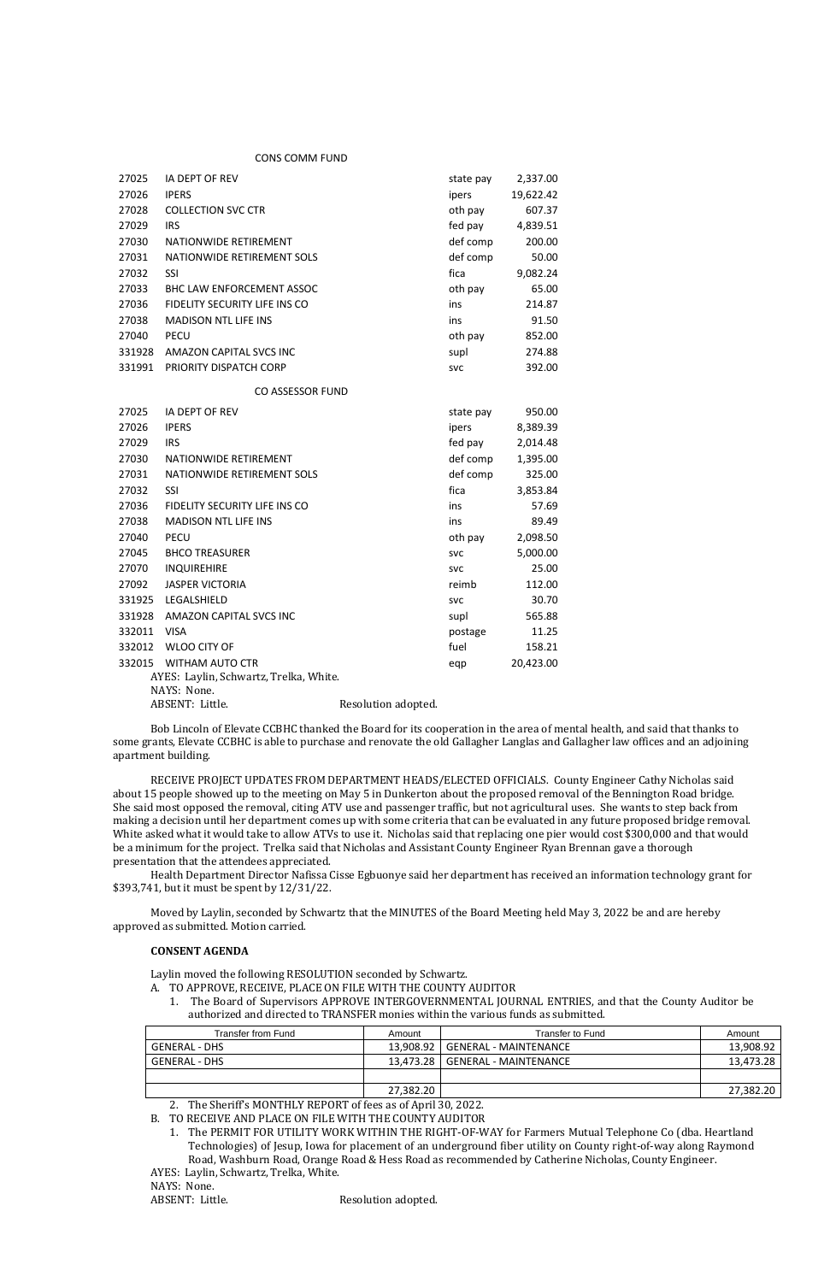#### CONS COMM FUND

| 27025                                  | IA DEPT OF REV                   |                     | state pay  | 2,337.00  |
|----------------------------------------|----------------------------------|---------------------|------------|-----------|
| 27026                                  | <b>IPERS</b>                     |                     | ipers      | 19,622.42 |
| 27028                                  | <b>COLLECTION SVC CTR</b>        |                     | oth pay    | 607.37    |
| 27029                                  | <b>IRS</b>                       |                     | fed pay    | 4,839.51  |
| 27030                                  | NATIONWIDE RETIREMENT            |                     | def comp   | 200.00    |
| 27031                                  | NATIONWIDE RETIREMENT SOLS       |                     | def comp   | 50.00     |
| 27032                                  | SSI                              |                     | fica       | 9,082.24  |
| 27033                                  | <b>BHC LAW ENFORCEMENT ASSOC</b> |                     | oth pay    | 65.00     |
| 27036                                  | FIDELITY SECURITY LIFE INS CO    |                     | ins        | 214.87    |
| 27038                                  | <b>MADISON NTL LIFE INS</b>      |                     | ins        | 91.50     |
| 27040                                  | <b>PECU</b>                      |                     | oth pay    | 852.00    |
| 331928                                 | AMAZON CAPITAL SVCS INC          |                     | supl       | 274.88    |
| 331991                                 | PRIORITY DISPATCH CORP           |                     | <b>SVC</b> | 392.00    |
|                                        | CO ASSESSOR FUND                 |                     |            |           |
| 27025                                  | IA DEPT OF REV                   |                     | state pay  | 950.00    |
| 27026                                  | <b>IPERS</b>                     |                     | ipers      | 8,389.39  |
| 27029                                  | <b>IRS</b>                       |                     | fed pay    | 2,014.48  |
| 27030                                  | NATIONWIDE RETIREMENT            |                     | def comp   | 1,395.00  |
| 27031                                  | NATIONWIDE RETIREMENT SOLS       |                     | def comp   | 325.00    |
| 27032                                  | <b>SSI</b>                       |                     | fica       | 3,853.84  |
| 27036                                  | FIDELITY SECURITY LIFE INS CO    |                     | ins        | 57.69     |
| 27038                                  | <b>MADISON NTL LIFE INS</b>      |                     | ins        | 89.49     |
| 27040                                  | <b>PECU</b>                      |                     | oth pay    | 2,098.50  |
| 27045                                  | <b>BHCO TREASURER</b>            |                     | <b>SVC</b> | 5,000.00  |
| 27070                                  | <b>INQUIREHIRE</b>               |                     | <b>SVC</b> | 25.00     |
| 27092                                  | <b>JASPER VICTORIA</b>           |                     | reimb      | 112.00    |
| 331925                                 | LEGALSHIELD                      |                     | <b>SVC</b> | 30.70     |
| 331928                                 | <b>AMAZON CAPITAL SVCS INC</b>   |                     | supl       | 565.88    |
| 332011                                 | <b>VISA</b>                      |                     | postage    | 11.25     |
| 332012                                 | <b>WLOO CITY OF</b>              |                     | fuel       | 158.21    |
| 332015                                 | WITHAM AUTO CTR                  |                     | eqp        | 20,423.00 |
| AYES: Laylin, Schwartz, Trelka, White. |                                  |                     |            |           |
|                                        | NAYS: None.                      |                     |            |           |
|                                        | ABSENT: Little.                  | Resolution adopted. |            |           |

Bob Lincoln of Elevate CCBHC thanked the Board for its cooperation in the area of mental health, and said that thanks to some grants, Elevate CCBHC is able to purchase and renovate the old Gallagher Langlas and Gallagher law offices and an adjoining apartment building.

RECEIVE PROJECT UPDATES FROM DEPARTMENT HEADS/ELECTED OFFICIALS. County Engineer Cathy Nicholas said about 15 people showed up to the meeting on May 5 in Dunkerton about the proposed removal of the Bennington Road bridge. She said most opposed the removal, citing ATV use and passenger traffic, but not agricultural uses. She wants to step back from making a decision until her department comes up with some criteria that can be evaluated in any future proposed bridge removal. White asked what it would take to allow ATVs to use it. Nicholas said that replacing one pier would cost \$300,000 and that would be a minimum for the project. Trelka said that Nicholas and Assistant County Engineer Ryan Brennan gave a thorough presentation that the attendees appreciated.

Health Department Director Nafissa Cisse Egbuonye said her department has received an information technology grant for \$393,741, but it must be spent by 12/31/22.

Moved by Laylin, seconded by Schwartz that the MINUTES of the Board Meeting held May 3, 2022 be and are hereby approved as submitted. Motion carried.

# **CONSENT AGENDA**

Laylin moved the following RESOLUTION seconded by Schwartz.

A. TO APPROVE, RECEIVE, PLACE ON FILE WITH THE COUNTY AUDITOR

1. The Board of Supervisors APPROVE INTERGOVERNMENTAL JOURNAL ENTRIES, and that the County Auditor be authorized and directed to TRANSFER monies within the various funds as submitted.

2. The Sheriff's MONTHLY REPORT of fees as of April 30, 2022.

B. TO RECEIVE AND PLACE ON FILE WITH THE COUNTY AUDITOR

1. The PERMIT FOR UTILITY WORK WITHIN THE RIGHT-OF-WAY for Farmers Mutual Telephone Co (dba. Heartland

Technologies) of Jesup, Iowa for placement of an underground fiber utility on County right-of-way along Raymond Road, Washburn Road, Orange Road & Hess Road as recommended by Catherine Nicholas, County Engineer.

AYES: Laylin, Schwartz, Trelka, White.

NAYS: None.

ABSENT: Little. Resolution adopted.

| Transfer from Fund   | Amount    | Transfer to Fund        | Amount    |
|----------------------|-----------|-------------------------|-----------|
| <b>GENERAL - DHS</b> | 13,908.92 | GENERAL - MAINTENANCE   | 13,908.92 |
| GENERAL - DHS        | 13.473.28 | l GENERAL - MAINTENANCE | 13,473.28 |
|                      |           |                         |           |
|                      | 27,382.20 |                         | 27,382.20 |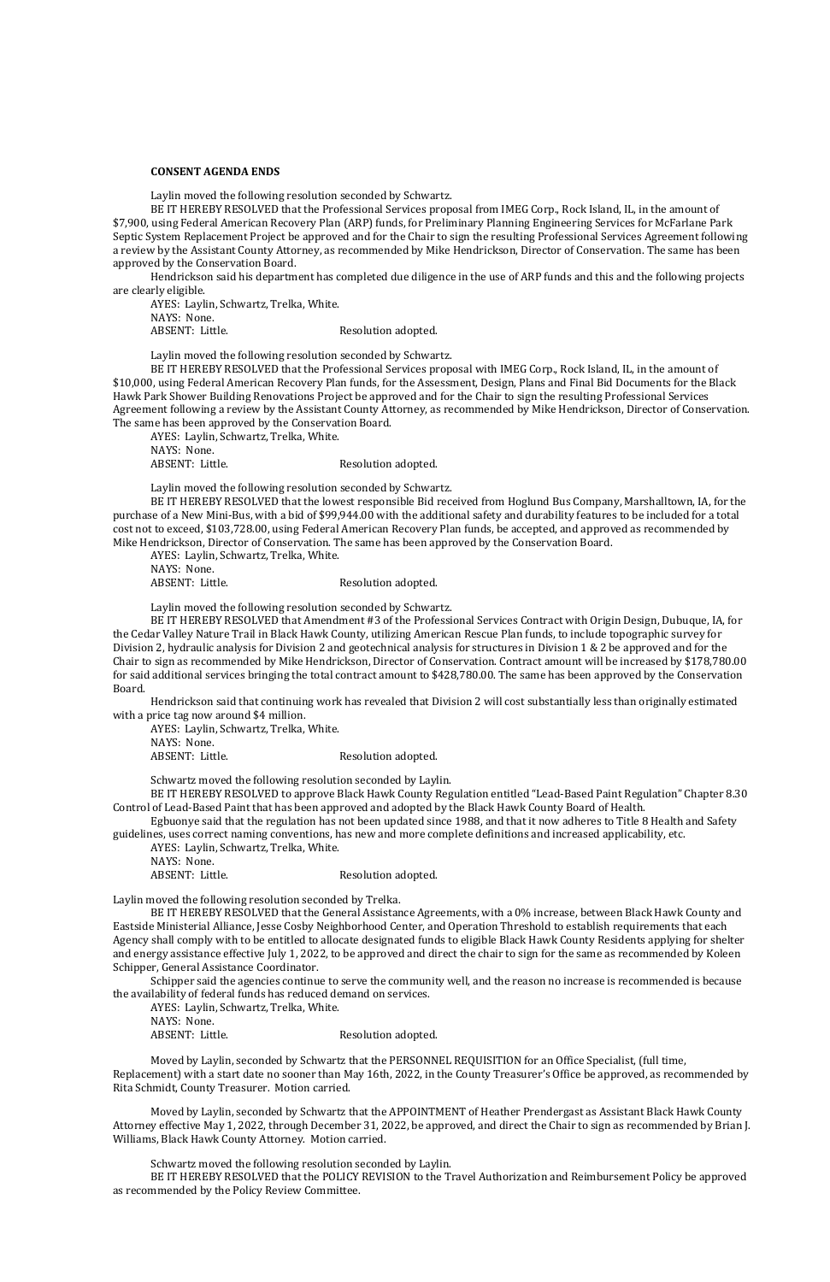#### **CONSENT AGENDA ENDS**

Laylin moved the following resolution seconded by Schwartz.

BE IT HEREBY RESOLVED that the Professional Services proposal from IMEG Corp., Rock Island, IL, in the amount of \$7,900, using Federal American Recovery Plan (ARP) funds, for Preliminary Planning Engineering Services for McFarlane Park Septic System Replacement Project be approved and for the Chair to sign the resulting Professional Services Agreement following a review by the Assistant County Attorney, as recommended by Mike Hendrickson, Director of Conservation. The same has been approved by the Conservation Board.

AYES: Laylin, Schwartz, Trelka, White. NAYS: None. ABSENT: Little. Resolution adopted.

Hendrickson said his department has completed due diligence in the use of ARP funds and this and the following projects are clearly eligible.

AYES: Laylin, Schwartz, Trelka, White. NAYS: None. ABSENT: Little. Resolution adopted.

Laylin moved the following resolution seconded by Schwartz.

BE IT HEREBY RESOLVED that the Professional Services proposal with IMEG Corp., Rock Island, IL, in the amount of \$10,000, using Federal American Recovery Plan funds, for the Assessment, Design, Plans and Final Bid Documents for the Black Hawk Park Shower Building Renovations Project be approved and for the Chair to sign the resulting Professional Services Agreement following a review by the Assistant County Attorney, as recommended by Mike Hendrickson, Director of Conservation. The same has been approved by the Conservation Board.

Laylin moved the following resolution seconded by Schwartz.

BE IT HEREBY RESOLVED that the lowest responsible Bid received from Hoglund Bus Company, Marshalltown, IA, for the purchase of a New Mini-Bus, with a bid of \$99,944.00 with the additional safety and durability features to be included for a total cost not to exceed, \$103,728.00, using Federal American Recovery Plan funds, be accepted, and approved as recommended by Mike Hendrickson, Director of Conservation. The same has been approved by the Conservation Board.

AYES: Laylin, Schwartz, Trelka, White.

NAYS: None.

ABSENT: Little. Resolution adopted.

Laylin moved the following resolution seconded by Schwartz.

BE IT HEREBY RESOLVED that Amendment #3 of the Professional Services Contract with Origin Design, Dubuque, IA, for the Cedar Valley Nature Trail in Black Hawk County, utilizing American Rescue Plan funds, to include topographic survey for Division 2, hydraulic analysis for Division 2 and geotechnical analysis for structures in Division 1 & 2 be approved and for the Chair to sign as recommended by Mike Hendrickson, Director of Conservation. Contract amount will be increased by \$178,780.00 for said additional services bringing the total contract amount to \$428,780.00. The same has been approved by the Conservation Board.

Hendrickson said that continuing work has revealed that Division 2 will cost substantially less than originally estimated with a price tag now around \$4 million.

AYES: Laylin, Schwartz, Trelka, White. NAYS: None.

ABSENT: Little. Resolution adopted.

Schwartz moved the following resolution seconded by Laylin.

BE IT HEREBY RESOLVED to approve Black Hawk County Regulation entitled "Lead-Based Paint Regulation" Chapter 8.30 Control of Lead-Based Paint that has been approved and adopted by the Black Hawk County Board of Health.

Egbuonye said that the regulation has not been updated since 1988, and that it now adheres to Title 8 Health and Safety guidelines, uses correct naming conventions, has new and more complete definitions and increased applicability, etc.

- AYES: Laylin, Schwartz, Trelka, White.
- NAYS: None.

ABSENT: Little. Resolution adopted.

Laylin moved the following resolution seconded by Trelka.

BE IT HEREBY RESOLVED that the General Assistance Agreements, with a 0% increase, between Black Hawk County and Eastside Ministerial Alliance, Jesse Cosby Neighborhood Center, and Operation Threshold to establish requirements that each Agency shall comply with to be entitled to allocate designated funds to eligible Black Hawk County Residents applying for shelter and energy assistance effective July 1, 2022, to be approved and direct the chair to sign for the same as recommended by Koleen Schipper, General Assistance Coordinator.

Schipper said the agencies continue to serve the community well, and the reason no increase is recommended is because the availability of federal funds has reduced demand on services.

AYES: Laylin, Schwartz, Trelka, White.

NAYS: None.

ABSENT: Little. Resolution adopted.

Moved by Laylin, seconded by Schwartz that the PERSONNEL REQUISITION for an Office Specialist, (full time, Replacement) with a start date no sooner than May 16th, 2022, in the County Treasurer's Office be approved, as recommended by Rita Schmidt, County Treasurer. Motion carried.

Moved by Laylin, seconded by Schwartz that the APPOINTMENT of Heather Prendergast as Assistant Black Hawk County Attorney effective May 1, 2022, through December 31, 2022, be approved, and direct the Chair to sign as recommended by Brian J. Williams, Black Hawk County Attorney. Motion carried.

Schwartz moved the following resolution seconded by Laylin.

BE IT HEREBY RESOLVED that the POLICY REVISION to the Travel Authorization and Reimbursement Policy be approved as recommended by the Policy Review Committee.